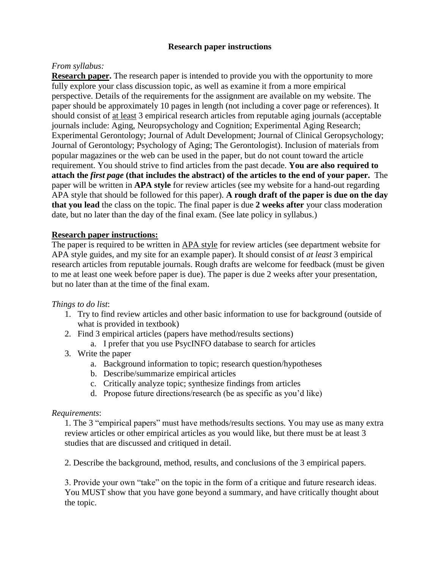# **Research paper instructions**

# *From syllabus:*

**Research paper.** The research paper is intended to provide you with the opportunity to more fully explore your class discussion topic, as well as examine it from a more empirical perspective. Details of the requirements for the assignment are available on my website. The paper should be approximately 10 pages in length (not including a cover page or references). It should consist of at least 3 empirical research articles from reputable aging journals (acceptable journals include: Aging, Neuropsychology and Cognition; Experimental Aging Research; Experimental Gerontology; Journal of Adult Development; Journal of Clinical Geropsychology; Journal of Gerontology; Psychology of Aging; The Gerontologist). Inclusion of materials from popular magazines or the web can be used in the paper, but do not count toward the article requirement. You should strive to find articles from the past decade. **You are also required to attach the** *first page* **(that includes the abstract) of the articles to the end of your paper.** The paper will be written in **APA style** for review articles (see my website for a hand-out regarding APA style that should be followed for this paper). **A rough draft of the paper is due on the day that you lead** the class on the topic. The final paper is due **2 weeks after** your class moderation date, but no later than the day of the final exam. (See late policy in syllabus.)

### **Research paper instructions:**

The paper is required to be written in APA style for review articles (see department website for APA style guides, and my site for an example paper). It should consist of *at least* 3 empirical research articles from reputable journals. Rough drafts are welcome for feedback (must be given to me at least one week before paper is due). The paper is due 2 weeks after your presentation, but no later than at the time of the final exam.

### *Things to do list*:

- 1. Try to find review articles and other basic information to use for background (outside of what is provided in textbook)
- 2. Find 3 empirical articles (papers have method/results sections)
	- a. I prefer that you use PsycINFO database to search for articles
- 3. Write the paper
	- a. Background information to topic; research question/hypotheses
	- b. Describe/summarize empirical articles
	- c. Critically analyze topic; synthesize findings from articles
	- d. Propose future directions/research (be as specific as you'd like)

### *Requirements*:

1. The 3 "empirical papers" must have methods/results sections. You may use as many extra review articles or other empirical articles as you would like, but there must be at least 3 studies that are discussed and critiqued in detail.

2. Describe the background, method, results, and conclusions of the 3 empirical papers.

3. Provide your own "take" on the topic in the form of a critique and future research ideas. You MUST show that you have gone beyond a summary, and have critically thought about the topic.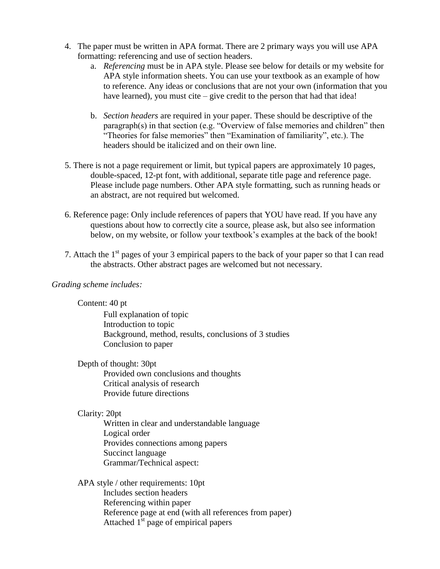- 4. The paper must be written in APA format. There are 2 primary ways you will use APA formatting: referencing and use of section headers.
	- a. *Referencing* must be in APA style. Please see below for details or my website for APA style information sheets. You can use your textbook as an example of how to reference. Any ideas or conclusions that are not your own (information that you have learned), you must cite – give credit to the person that had that idea!
	- b. *Section headers* are required in your paper. These should be descriptive of the paragraph(s) in that section (e.g. "Overview of false memories and children" then "Theories for false memories" then "Examination of familiarity", etc.). The headers should be italicized and on their own line.
- 5. There is not a page requirement or limit, but typical papers are approximately 10 pages, double-spaced, 12-pt font, with additional, separate title page and reference page. Please include page numbers. Other APA style formatting, such as running heads or an abstract, are not required but welcomed.
- 6. Reference page: Only include references of papers that YOU have read. If you have any questions about how to correctly cite a source, please ask, but also see information below, on my website, or follow your textbook's examples at the back of the book!
- 7. Attach the  $1<sup>st</sup>$  pages of your 3 empirical papers to the back of your paper so that I can read the abstracts. Other abstract pages are welcomed but not necessary.

# *Grading scheme includes:*

Content: 40 pt

Full explanation of topic Introduction to topic Background, method, results, conclusions of 3 studies Conclusion to paper

Depth of thought: 30pt

Provided own conclusions and thoughts Critical analysis of research Provide future directions

### Clarity: 20pt

Written in clear and understandable language Logical order Provides connections among papers Succinct language Grammar/Technical aspect:

APA style / other requirements: 10pt Includes section headers Referencing within paper Reference page at end (with all references from paper) Attached  $1<sup>st</sup>$  page of empirical papers